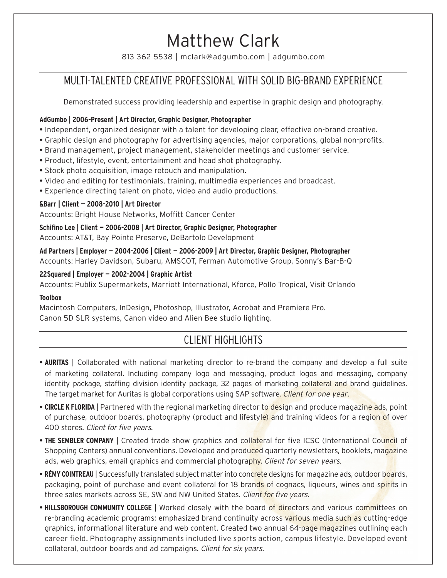# Matthew Clark

813 362 5538 | mclark@adgumbo.com | adgumbo.com

### MULTI-TALENTED CREATIVE PROFESSIONAL WITH SOLID BIG-BRAND EXPERIENCE

Demonstrated success providing leadership and expertise in graphic design and photography.

#### **AdGumbo | 2006-Present | Art Director, Graphic Designer, Photographer**

- Independent, organized designer with a talent for developing clear, effective on-brand creative.
- Graphic design and photography for advertising agencies, major corporations, global non-profits.
- Brand management, project management, stakeholder meetings and customer service.
- Product, lifestyle, event, entertainment and head shot photography.
- Stock photo acquisition, image retouch and manipulation.
- Video and editing for testimonials, training, multimedia experiences and broadcast.
- Experience directing talent on photo, video and audio productions.

#### **&Barr | Client — 2008-2010 | Art Director**

Accounts: Bright House Networks, Moffitt Cancer Center

**Schifino Lee | Client — 2006-2008 | Art Director, Graphic Designer, Photographer** Accounts: AT&T, Bay Pointe Preserve, DeBartolo Development

**Ad Partners | Employer — 2004-2006 | Client — 2006-2009 | Art Director, Graphic Designer, Photographer** Accounts: Harley Davidson, Subaru, AMSCOT, Ferman Automotive Group, Sonny's Bar-B-Q

#### **22Squared | Employer — 2002-2004 | Graphic Artist**

Accounts: Publix Supermarkets, Marriott International, Kforce, Pollo Tropical, Visit Orlando

#### **Toolbox**

Macintosh Computers, InDesign, Photoshop, Illustrator, Acrobat and Premiere Pro. Canon 5D SLR systems, Canon video and Alien Bee studio lighting.

### CLIENT HIGHLIGHTS

- **AURITAS** | Collaborated with national marketing director to re-brand the company and develop a full suite of marketing collateral. Including company logo and messaging, product logos and messaging, company identity package, staffing division identity package, 32 pages of marketing collateral and brand guidelines. The target market for Auritas is global corporations using SAP software. *Client for one year.*
- **CIRCLE K FLORIDA** | Partnered with the regional marketing director to design and produce magazine ads, point of purchase, outdoor boards, photography (product and lifestyle) and training videos for a region of over 400 stores. *Client for five years.*
- **THE SEMBLER COMPANY** | Created trade show graphics and collateral for five ICSC (International Council of Shopping Centers) annual conventions. Developed and produced quarterly newsletters, booklets, magazine ads, web graphics, email graphics and commercial photography. *Client for seven years.*
- **RÉMY COINTREAU** | Successfully translated subject matter into concrete designs for magazine ads, outdoor boards, packaging, point of purchase and event collateral for 18 brands of cognacs, liqueurs, wines and spirits in three sales markets across SE, SW and NW United States. *Client for five years.*
- **HILLSBOROUGH COMMUNITY COLLEGE** | Worked closely with the board of directors and various committees on re-branding academic programs; emphasized brand continuity across various media such as cutting-edge graphics, informational literature and web content. Created two annual 64-page magazines outlining each career field. Photography assignments included live sports action, campus lifestyle. Developed event collateral, outdoor boards and ad campaigns. *Client for six years.*